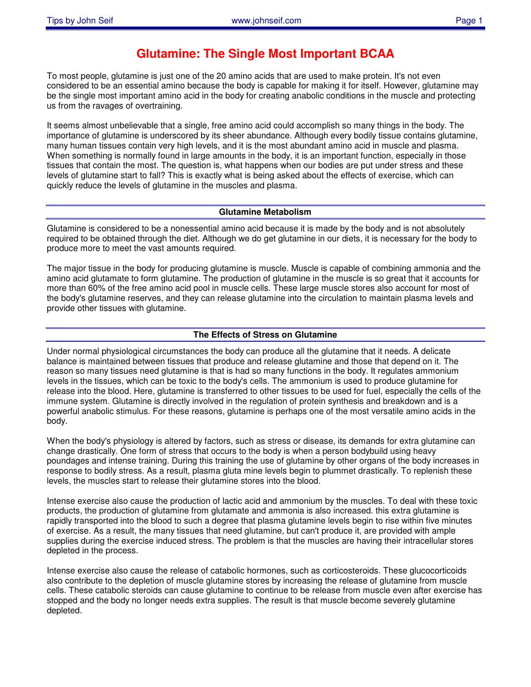# **Glutamine: The Single Most Important BCAA**

To most people, glutamine is just one of the 20 amino acids that are used to make protein. It's not even considered to be an essential amino because the body is capable for making it for itself. However, glutamine may be the single most important amino acid in the body for creating anabolic conditions in the muscle and protecting us from the ravages of overtraining.

It seems almost unbelievable that a single, free amino acid could accomplish so many things in the body. The importance of glutamine is underscored by its sheer abundance. Although every bodily tissue contains glutamine, many human tissues contain very high levels, and it is the most abundant amino acid in muscle and plasma. When something is normally found in large amounts in the body, it is an important function, especially in those tissues that contain the most. The question is, what happens when our bodies are put under stress and these levels of glutamine start to fall? This is exactly what is being asked about the effects of exercise, which can quickly reduce the levels of glutamine in the muscles and plasma.

# **Glutamine Metabolism**

Glutamine is considered to be a nonessential amino acid because it is made by the body and is not absolutely required to be obtained through the diet. Although we do get glutamine in our diets, it is necessary for the body to produce more to meet the vast amounts required.

The major tissue in the body for producing glutamine is muscle. Muscle is capable of combining ammonia and the amino acid glutamate to form glutamine. The production of glutamine in the muscle is so great that it accounts for more than 60% of the free amino acid pool in muscle cells. These large muscle stores also account for most of the body's glutamine reserves, and they can release glutamine into the circulation to maintain plasma levels and provide other tissues with glutamine.

# **The Effects of Stress on Glutamine**

Under normal physiological circumstances the body can produce all the glutamine that it needs. A delicate balance is maintained between tissues that produce and release glutamine and those that depend on it. The reason so many tissues need glutamine is that is had so many functions in the body. It regulates ammonium levels in the tissues, which can be toxic to the body's cells. The ammonium is used to produce glutamine for release into the blood. Here, glutamine is transferred to other tissues to be used for fuel, especially the cells of the immune system. Glutamine is directly involved in the regulation of protein synthesis and breakdown and is a powerful anabolic stimulus. For these reasons, glutamine is perhaps one of the most versatile amino acids in the body.

When the body's physiology is altered by factors, such as stress or disease, its demands for extra glutamine can change drastically. One form of stress that occurs to the body is when a person bodybuild using heavy poundages and intense training. During this training the use of glutamine by other organs of the body increases in response to bodily stress. As a result, plasma gluta mine levels begin to plummet drastically. To replenish these levels, the muscles start to release their glutamine stores into the blood.

Intense exercise also cause the production of lactic acid and ammonium by the muscles. To deal with these toxic products, the production of glutamine from glutamate and ammonia is also increased. this extra glutamine is rapidly transported into the blood to such a degree that plasma glutamine levels begin to rise within five minutes of exercise. As a result, the many tissues that need glutamine, but can't produce it, are provided with ample supplies during the exercise induced stress. The problem is that the muscles are having their intracellular stores depleted in the process.

Intense exercise also cause the release of catabolic hormones, such as corticosteroids. These glucocorticoids also contribute to the depletion of muscle glutamine stores by increasing the release of glutamine from muscle cells. These catabolic steroids can cause glutamine to continue to be release from muscle even after exercise has stopped and the body no longer needs extra supplies. The result is that muscle become severely glutamine depleted.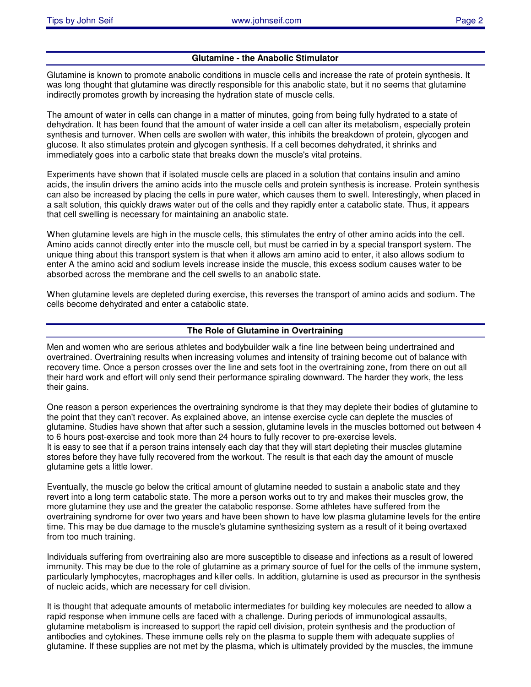# **Glutamine - the Anabolic Stimulator**

Glutamine is known to promote anabolic conditions in muscle cells and increase the rate of protein synthesis. It was long thought that glutamine was directly responsible for this anabolic state, but it no seems that glutamine indirectly promotes growth by increasing the hydration state of muscle cells.

The amount of water in cells can change in a matter of minutes, going from being fully hydrated to a state of dehydration. It has been found that the amount of water inside a cell can alter its metabolism, especially protein synthesis and turnover. When cells are swollen with water, this inhibits the breakdown of protein, glycogen and glucose. It also stimulates protein and glycogen synthesis. If a cell becomes dehydrated, it shrinks and immediately goes into a carbolic state that breaks down the muscle's vital proteins.

Experiments have shown that if isolated muscle cells are placed in a solution that contains insulin and amino acids, the insulin drivers the amino acids into the muscle cells and protein synthesis is increase. Protein synthesis can also be increased by placing the cells in pure water, which causes them to swell. Interestingly, when placed in a salt solution, this quickly draws water out of the cells and they rapidly enter a catabolic state. Thus, it appears that cell swelling is necessary for maintaining an anabolic state.

When glutamine levels are high in the muscle cells, this stimulates the entry of other amino acids into the cell. Amino acids cannot directly enter into the muscle cell, but must be carried in by a special transport system. The unique thing about this transport system is that when it allows am amino acid to enter, it also allows sodium to enter A the amino acid and sodium levels increase inside the muscle, this excess sodium causes water to be absorbed across the membrane and the cell swells to an anabolic state.

When glutamine levels are depleted during exercise, this reverses the transport of amino acids and sodium. The cells become dehydrated and enter a catabolic state.

# **The Role of Glutamine in Overtraining**

Men and women who are serious athletes and bodybuilder walk a fine line between being undertrained and overtrained. Overtraining results when increasing volumes and intensity of training become out of balance with recovery time. Once a person crosses over the line and sets foot in the overtraining zone, from there on out all their hard work and effort will only send their performance spiraling downward. The harder they work, the less their gains.

One reason a person experiences the overtraining syndrome is that they may deplete their bodies of glutamine to the point that they can't recover. As explained above, an intense exercise cycle can deplete the muscles of glutamine. Studies have shown that after such a session, glutamine levels in the muscles bottomed out between 4 to 6 hours post-exercise and took more than 24 hours to fully recover to pre-exercise levels. It is easy to see that if a person trains intensely each day that they will start depleting their muscles glutamine stores before they have fully recovered from the workout. The result is that each day the amount of muscle glutamine gets a little lower.

Eventually, the muscle go below the critical amount of glutamine needed to sustain a anabolic state and they revert into a long term catabolic state. The more a person works out to try and makes their muscles grow, the more glutamine they use and the greater the catabolic response. Some athletes have suffered from the overtraining syndrome for over two years and have been shown to have low plasma glutamine levels for the entire time. This may be due damage to the muscle's glutamine synthesizing system as a result of it being overtaxed from too much training.

Individuals suffering from overtraining also are more susceptible to disease and infections as a result of lowered immunity. This may be due to the role of glutamine as a primary source of fuel for the cells of the immune system, particularly lymphocytes, macrophages and killer cells. In addition, glutamine is used as precursor in the synthesis of nucleic acids, which are necessary for cell division.

It is thought that adequate amounts of metabolic intermediates for building key molecules are needed to allow a rapid response when immune cells are faced with a challenge. During periods of immunological assaults, glutamine metabolism is increased to support the rapid cell division, protein synthesis and the production of antibodies and cytokines. These immune cells rely on the plasma to supple them with adequate supplies of glutamine. If these supplies are not met by the plasma, which is ultimately provided by the muscles, the immune